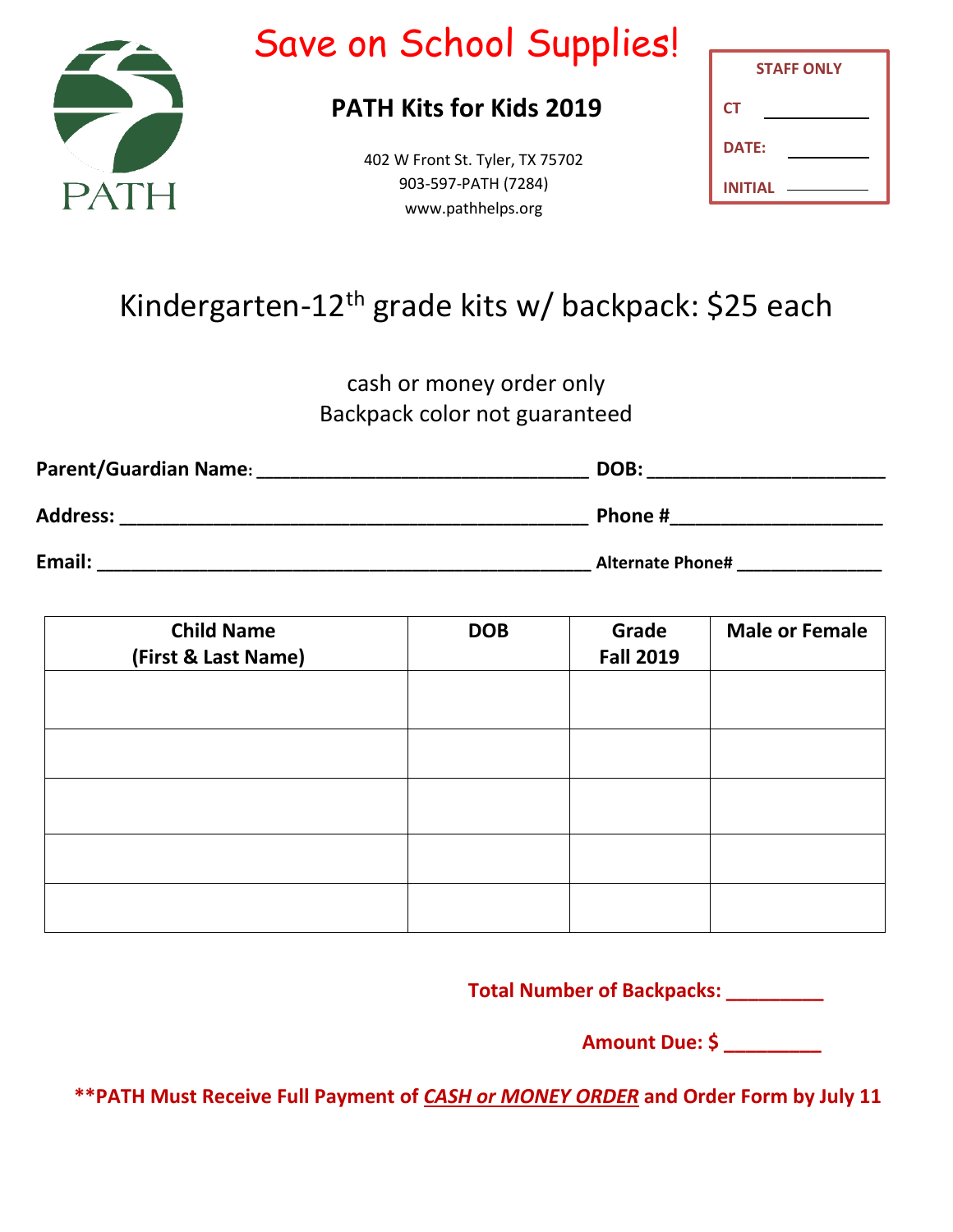

# Save on School Supplies!

## **PATH Kits for Kids 2019**

402 W Front St. Tyler, TX 75702 903-597-PATH (7284) www.pathhelps.org

| <b>STAFF ONLY</b> |  |  |  |
|-------------------|--|--|--|
| <b>CT</b>         |  |  |  |
| <b>DATE:</b>      |  |  |  |
| INITIAL           |  |  |  |

## Kindergarten-12<sup>th</sup> grade kits w/ backpack: \$25 each

cash or money order only Backpack color not guaranteed

| Parent/Guardian Name: | DOB:                    |  |  |
|-----------------------|-------------------------|--|--|
| <b>Address:</b>       | Phone #                 |  |  |
| Email:                | <b>Alternate Phone#</b> |  |  |

| <b>Child Name</b><br>(First & Last Name) | <b>DOB</b> | Grade<br><b>Fall 2019</b> | <b>Male or Female</b> |
|------------------------------------------|------------|---------------------------|-----------------------|
|                                          |            |                           |                       |
|                                          |            |                           |                       |
|                                          |            |                           |                       |
|                                          |            |                           |                       |
|                                          |            |                           |                       |

**Total Number of Backpacks: \_\_\_\_\_\_\_\_\_**

**Amount Due: \$ \_\_\_\_\_\_\_\_\_**

**\*\*PATH Must Receive Full Payment of** *CASH or MONEY ORDER* **and Order Form by July 11**